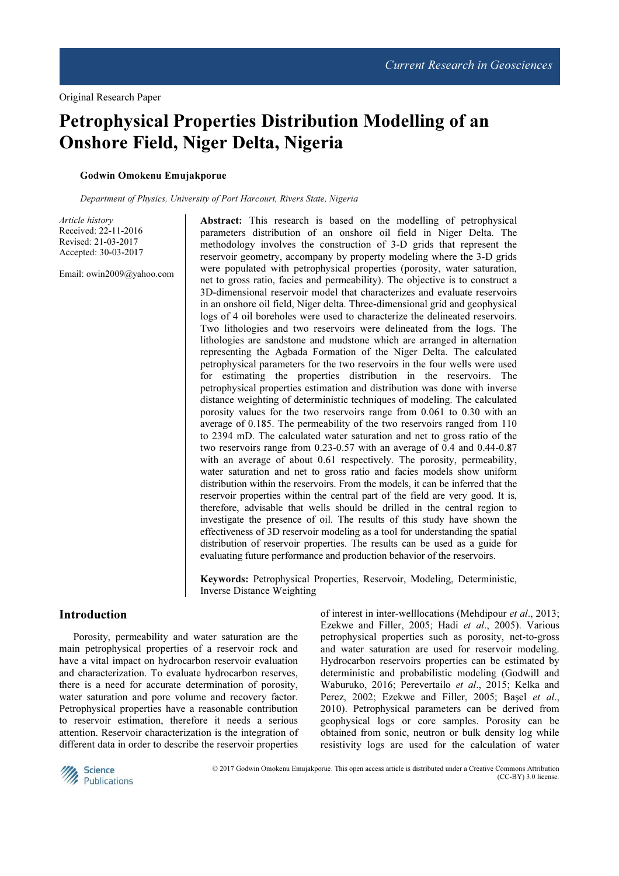# Petrophysical Properties Distribution Modelling of an Onshore Field, Niger Delta, Nigeria

# Godwin Omokenu Emujakporue

Department of Physics, University of Port Harcourt, Rivers State, Nigeria

Article history Received: 22-11-2016 Revised: 21-03-2017 Accepted: 30-03-2017

Email: owin2009@yahoo.com

Abstract: This research is based on the modelling of petrophysical parameters distribution of an onshore oil field in Niger Delta. The methodology involves the construction of 3-D grids that represent the reservoir geometry, accompany by property modeling where the 3-D grids were populated with petrophysical properties (porosity, water saturation, net to gross ratio, facies and permeability). The objective is to construct a 3D-dimensional reservoir model that characterizes and evaluate reservoirs in an onshore oil field, Niger delta. Three-dimensional grid and geophysical logs of 4 oil boreholes were used to characterize the delineated reservoirs. Two lithologies and two reservoirs were delineated from the logs. The lithologies are sandstone and mudstone which are arranged in alternation representing the Agbada Formation of the Niger Delta. The calculated petrophysical parameters for the two reservoirs in the four wells were used for estimating the properties distribution in the reservoirs. The petrophysical properties estimation and distribution was done with inverse distance weighting of deterministic techniques of modeling. The calculated porosity values for the two reservoirs range from 0.061 to 0.30 with an average of 0.185. The permeability of the two reservoirs ranged from 110 to 2394 mD. The calculated water saturation and net to gross ratio of the two reservoirs range from 0.23-0.57 with an average of 0.4 and 0.44-0.87 with an average of about 0.61 respectively. The porosity, permeability, water saturation and net to gross ratio and facies models show uniform distribution within the reservoirs. From the models, it can be inferred that the reservoir properties within the central part of the field are very good. It is, therefore, advisable that wells should be drilled in the central region to investigate the presence of oil. The results of this study have shown the effectiveness of 3D reservoir modeling as a tool for understanding the spatial distribution of reservoir properties. The results can be used as a guide for evaluating future performance and production behavior of the reservoirs.

Keywords: Petrophysical Properties, Reservoir, Modeling, Deterministic, Inverse Distance Weighting

# Introduction

Porosity, permeability and water saturation are the main petrophysical properties of a reservoir rock and have a vital impact on hydrocarbon reservoir evaluation and characterization. To evaluate hydrocarbon reserves, there is a need for accurate determination of porosity, water saturation and pore volume and recovery factor. Petrophysical properties have a reasonable contribution to reservoir estimation, therefore it needs a serious attention. Reservoir characterization is the integration of different data in order to describe the reservoir properties

of interest in inter-welllocations (Mehdipour et al., 2013; Ezekwe and Filler, 2005; Hadi et al., 2005). Various petrophysical properties such as porosity, net-to-gross and water saturation are used for reservoir modeling. Hydrocarbon reservoirs properties can be estimated by deterministic and probabilistic modeling (Godwill and Waburuko, 2016; Perevertailo et al., 2015; Kelka and Perez, 2002; Ezekwe and Filler, 2005; Başel et al., 2010). Petrophysical parameters can be derived from geophysical logs or core samples. Porosity can be obtained from sonic, neutron or bulk density log while resistivity logs are used for the calculation of water



 © 2017 Godwin Omokenu Emujakporue. This open access article is distributed under a Creative Commons Attribution (CC-BY) 3.0 license.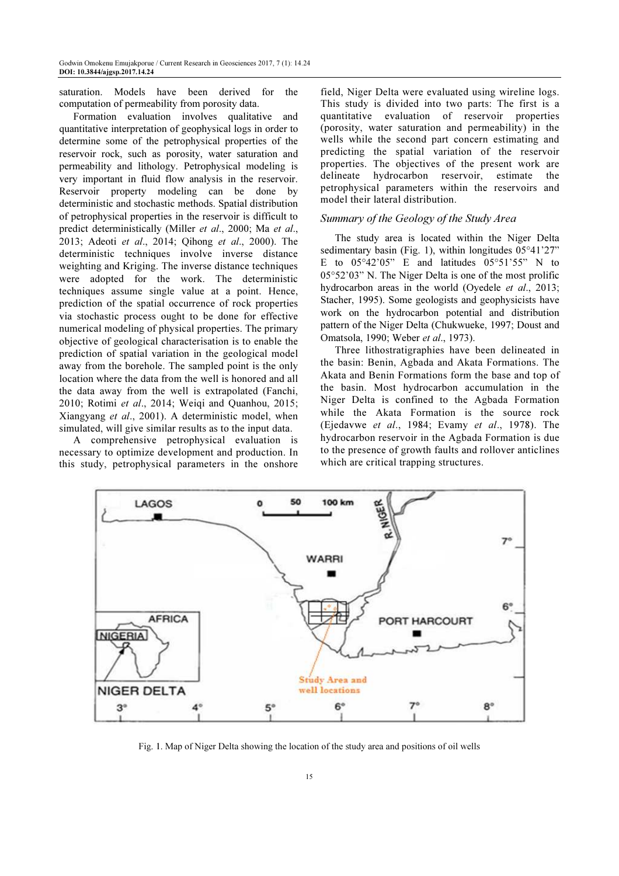saturation. Models have been derived for the computation of permeability from porosity data.

Formation evaluation involves qualitative and quantitative interpretation of geophysical logs in order to determine some of the petrophysical properties of the reservoir rock, such as porosity, water saturation and permeability and lithology. Petrophysical modeling is very important in fluid flow analysis in the reservoir. Reservoir property modeling can be done by deterministic and stochastic methods. Spatial distribution of petrophysical properties in the reservoir is difficult to predict deterministically (Miller et al., 2000; Ma et al., 2013; Adeoti et al., 2014; Qihong et al., 2000). The deterministic techniques involve inverse distance weighting and Kriging. The inverse distance techniques were adopted for the work. The deterministic techniques assume single value at a point. Hence, prediction of the spatial occurrence of rock properties via stochastic process ought to be done for effective numerical modeling of physical properties. The primary objective of geological characterisation is to enable the prediction of spatial variation in the geological model away from the borehole. The sampled point is the only location where the data from the well is honored and all the data away from the well is extrapolated (Fanchi, 2010; Rotimi et al., 2014; Weiqi and Quanhou, 2015; Xiangyang et al., 2001). A deterministic model, when simulated, will give similar results as to the input data.

A comprehensive petrophysical evaluation is necessary to optimize development and production. In this study, petrophysical parameters in the onshore field, Niger Delta were evaluated using wireline logs. This study is divided into two parts: The first is a quantitative evaluation of reservoir properties (porosity, water saturation and permeability) in the wells while the second part concern estimating and predicting the spatial variation of the reservoir properties. The objectives of the present work are delineate hydrocarbon reservoir, estimate the petrophysical parameters within the reservoirs and model their lateral distribution.

#### Summary of the Geology of the Study Area

The study area is located within the Niger Delta sedimentary basin (Fig. 1), within longitudes  $05^{\circ}41'27''$ E to  $05^{\circ}42'05''$  E and latitudes  $05^{\circ}51'55''$  N to 05°52'03" N. The Niger Delta is one of the most prolific hydrocarbon areas in the world (Oyedele et al., 2013; Stacher, 1995). Some geologists and geophysicists have work on the hydrocarbon potential and distribution pattern of the Niger Delta (Chukwueke, 1997; Doust and Omatsola, 1990; Weber et al., 1973).

Three lithostratigraphies have been delineated in the basin: Benin, Agbada and Akata Formations. The Akata and Benin Formations form the base and top of the basin. Most hydrocarbon accumulation in the Niger Delta is confined to the Agbada Formation while the Akata Formation is the source rock (Ejedavwe et al., 1984; Evamy et al., 1978). The hydrocarbon reservoir in the Agbada Formation is due to the presence of growth faults and rollover anticlines which are critical trapping structures.



Fig. 1. Map of Niger Delta showing the location of the study area and positions of oil wells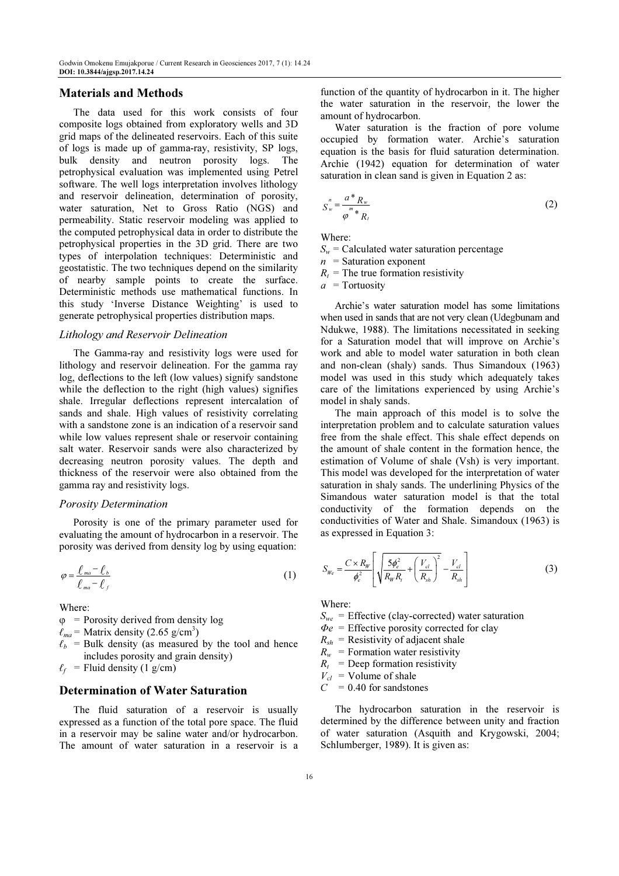## Materials and Methods

The data used for this work consists of four composite logs obtained from exploratory wells and 3D grid maps of the delineated reservoirs. Each of this suite of logs is made up of gamma-ray, resistivity, SP logs, bulk density and neutron porosity logs. The petrophysical evaluation was implemented using Petrel software. The well logs interpretation involves lithology and reservoir delineation, determination of porosity, water saturation, Net to Gross Ratio (NGS) and permeability. Static reservoir modeling was applied to the computed petrophysical data in order to distribute the petrophysical properties in the 3D grid. There are two types of interpolation techniques: Deterministic and geostatistic. The two techniques depend on the similarity of nearby sample points to create the surface. Deterministic methods use mathematical functions. In this study 'Inverse Distance Weighting' is used to generate petrophysical properties distribution maps.

#### Lithology and Reservoir Delineation

The Gamma-ray and resistivity logs were used for lithology and reservoir delineation. For the gamma ray log, deflections to the left (low values) signify sandstone while the deflection to the right (high values) signifies shale. Irregular deflections represent intercalation of sands and shale. High values of resistivity correlating with a sandstone zone is an indication of a reservoir sand while low values represent shale or reservoir containing salt water. Reservoir sands were also characterized by decreasing neutron porosity values. The depth and thickness of the reservoir were also obtained from the gamma ray and resistivity logs.

#### Porosity Determination

Porosity is one of the primary parameter used for evaluating the amount of hydrocarbon in a reservoir. The porosity was derived from density log by using equation:

$$
\varphi = \frac{\ell_{ma} - \ell_b}{\ell_{ma} - \ell_f} \tag{1}
$$

Where:

 $\varphi$  = Porosity derived from density log

 $\ell_{ma}$  = Matrix density (2.65 g/cm<sup>3</sup>)

 $\ell_b$  = Bulk density (as measured by the tool and hence includes porosity and grain density)

 $\ell_f$  = Fluid density (1 g/cm)

## Determination of Water Saturation

The fluid saturation of a reservoir is usually expressed as a function of the total pore space. The fluid in a reservoir may be saline water and/or hydrocarbon. The amount of water saturation in a reservoir is a function of the quantity of hydrocarbon in it. The higher the water saturation in the reservoir, the lower the amount of hydrocarbon.

Water saturation is the fraction of pore volume occupied by formation water. Archie's saturation equation is the basis for fluid saturation determination. Archie (1942) equation for determination of water saturation in clean sand is given in Equation 2 as:

$$
S_w^n = \frac{a^* R_w}{\varphi^* R_t}
$$
 (2)

Where:

 $S_w$  = Calculated water saturation percentage

- $n =$  Saturation exponent
- $R_t$  = The true formation resistivity

$$
a = \text{Tortuosity}
$$

Archie's water saturation model has some limitations when used in sands that are not very clean (Udegbunam and Ndukwe, 1988). The limitations necessitated in seeking for a Saturation model that will improve on Archie's work and able to model water saturation in both clean and non-clean (shaly) sands. Thus Simandoux (1963) model was used in this study which adequately takes care of the limitations experienced by using Archie's model in shaly sands.

The main approach of this model is to solve the interpretation problem and to calculate saturation values free from the shale effect. This shale effect depends on the amount of shale content in the formation hence, the estimation of Volume of shale (Vsh) is very important. This model was developed for the interpretation of water saturation in shaly sands. The underlining Physics of the Simandous water saturation model is that the total conductivity of the formation depends on the conductivities of Water and Shale. Simandoux (1963) is as expressed in Equation 3:

$$
S_{W_e} = \frac{C \times R_W}{\phi_e^2} \left[ \sqrt{\frac{5\phi_e^2}{R_W R_i} + \left(\frac{V_{cl}}{R_{sh}}\right)^2} - \frac{V_{cl}}{R_{sh}} \right]
$$
(3)

Where:

- $S_{we}$  = Effective (clay-corrected) water saturation
- $\Phi$ e = Effective porosity corrected for clay
- $R_{sh}$  = Resistivity of adjacent shale
- $R_w$  = Formation water resistivity
- $R_t$  = Deep formation resistivity
- $V_{cl}$  = Volume of shale
- $C = 0.40$  for sandstones

The hydrocarbon saturation in the reservoir is determined by the difference between unity and fraction of water saturation (Asquith and Krygowski, 2004; Schlumberger, 1989). It is given as: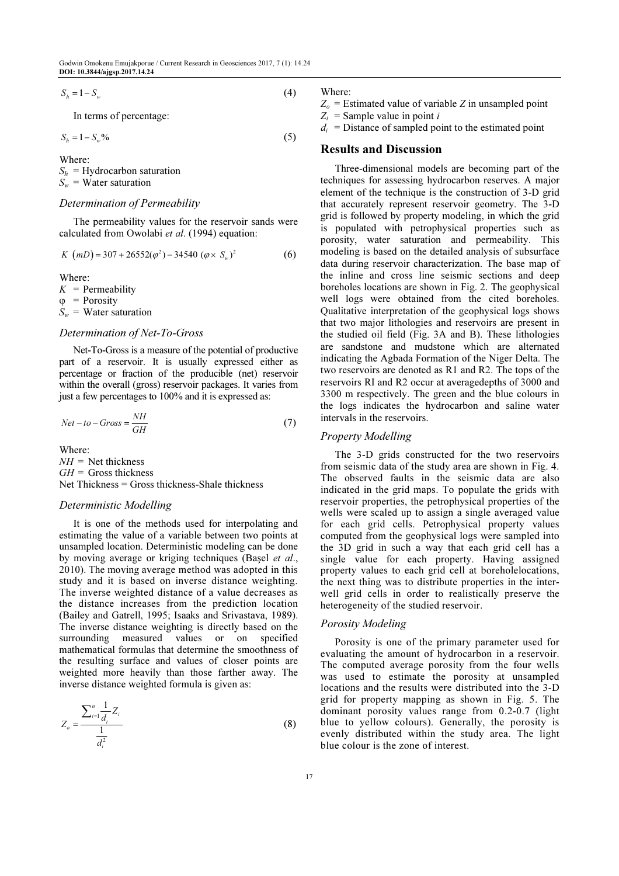$$
S_h = 1 - S_w \tag{4}
$$

In terms of percentage:

$$
S_h = 1 - S_w\% \tag{5}
$$

Where:

 $S_h$  = Hydrocarbon saturation  $S_w$  = Water saturation

## Determination of Permeability

The permeability values for the reservoir sands were calculated from Owolabi et al. (1994) equation:

$$
K (mD) = 307 + 26552(\varphi^2) - 34540 (\varphi \times S_w)^2
$$
 (6)

Where:

 $K =$  Permeability

 $\varphi$  = Porosity

 $S_w$  = Water saturation

#### Determination of Net-To-Gross

Net-To-Gross is a measure of the potential of productive part of a reservoir. It is usually expressed either as percentage or fraction of the producible (net) reservoir within the overall (gross) reservoir packages. It varies from just a few percentages to 100% and it is expressed as:

$$
Net - to - Gross = \frac{NH}{GH}
$$
 (7)

Where:

 $NH =$  Net thickness  $GH =$  Gross thickness Net Thickness = Gross thickness-Shale thickness

# Deterministic Modelling

It is one of the methods used for interpolating and estimating the value of a variable between two points at unsampled location. Deterministic modeling can be done by moving average or kriging techniques (Başel et al., 2010). The moving average method was adopted in this study and it is based on inverse distance weighting. The inverse weighted distance of a value decreases as the distance increases from the prediction location (Bailey and Gatrell, 1995; Isaaks and Srivastava, 1989). The inverse distance weighting is directly based on the surrounding measured values or on specified mathematical formulas that determine the smoothness of the resulting surface and values of closer points are weighted more heavily than those farther away. The inverse distance weighted formula is given as:

$$
Z_o = \frac{\sum_{i=1}^{n} \frac{1}{d_i} Z_i}{\frac{1}{d_i^2}}
$$
 (8)

Where:

 $Z_0$  = Estimated value of variable Z in unsampled point

 $Z_i$  = Sample value in point *i* 

 $d_i$  = Distance of sampled point to the estimated point

## Results and Discussion

Three-dimensional models are becoming part of the techniques for assessing hydrocarbon reserves. A major element of the technique is the construction of 3-D grid that accurately represent reservoir geometry. The 3-D grid is followed by property modeling, in which the grid is populated with petrophysical properties such as porosity, water saturation and permeability. This modeling is based on the detailed analysis of subsurface data during reservoir characterization. The base map of the inline and cross line seismic sections and deep boreholes locations are shown in Fig. 2. The geophysical well logs were obtained from the cited boreholes. Qualitative interpretation of the geophysical logs shows that two major lithologies and reservoirs are present in the studied oil field (Fig. 3A and B). These lithologies are sandstone and mudstone which are alternated indicating the Agbada Formation of the Niger Delta. The two reservoirs are denoted as R1 and R2. The tops of the reservoirs RI and R2 occur at averagedepths of 3000 and 3300 m respectively. The green and the blue colours in the logs indicates the hydrocarbon and saline water intervals in the reservoirs.

#### Property Modelling

The 3-D grids constructed for the two reservoirs from seismic data of the study area are shown in Fig. 4. The observed faults in the seismic data are also indicated in the grid maps. To populate the grids with reservoir properties, the petrophysical properties of the wells were scaled up to assign a single averaged value for each grid cells. Petrophysical property values computed from the geophysical logs were sampled into the 3D grid in such a way that each grid cell has a single value for each property. Having assigned property values to each grid cell at boreholelocations, the next thing was to distribute properties in the interwell grid cells in order to realistically preserve the heterogeneity of the studied reservoir.

#### Porosity Modeling

Porosity is one of the primary parameter used for evaluating the amount of hydrocarbon in a reservoir. The computed average porosity from the four wells was used to estimate the porosity at unsampled locations and the results were distributed into the 3-D grid for property mapping as shown in Fig. 5. The dominant porosity values range from 0.2-0.7 (light blue to yellow colours). Generally, the porosity is evenly distributed within the study area. The light blue colour is the zone of interest.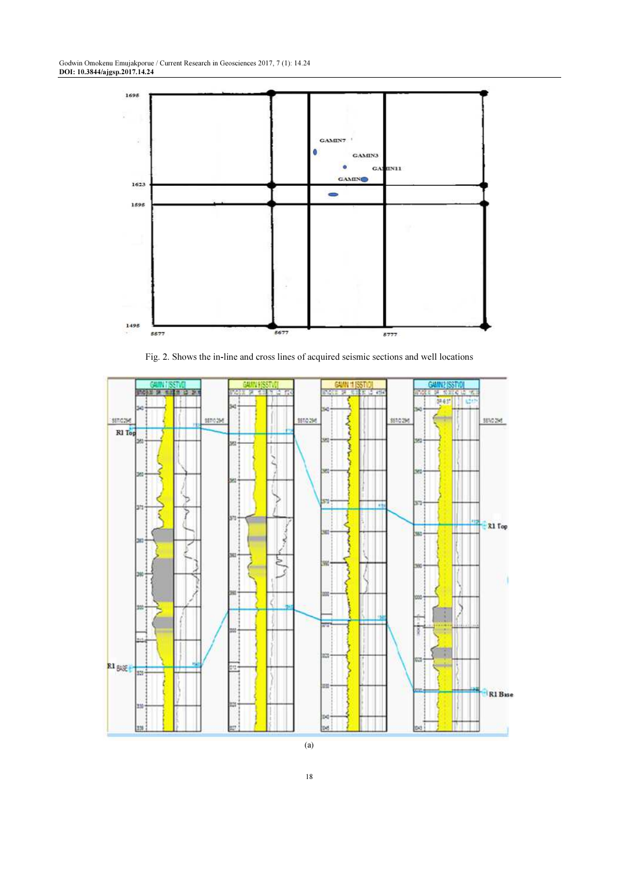

Fig. 2. Shows the in-line and cross lines of acquired seismic sections and well locations

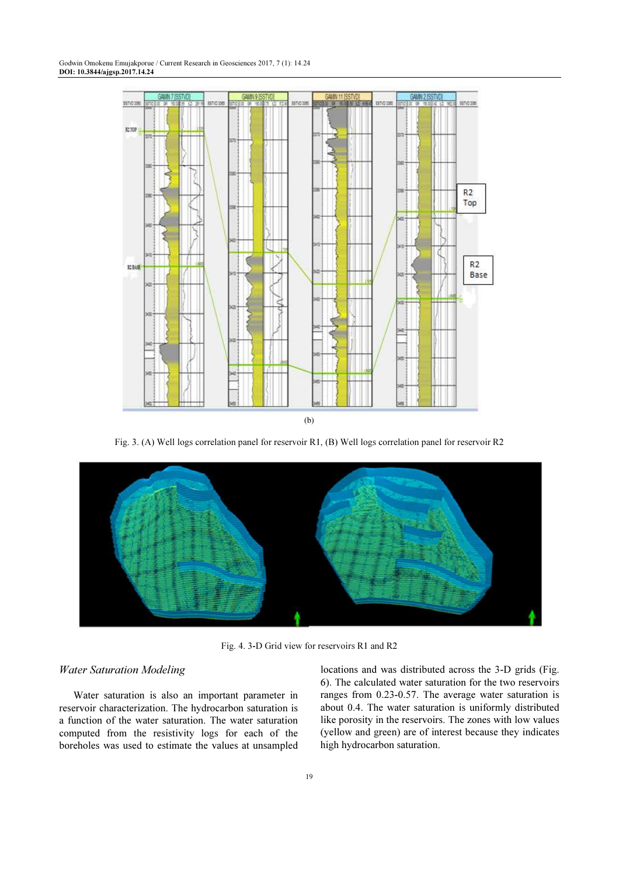

Fig. 3. (A) Well logs correlation panel for reservoir R1, (B) Well logs correlation panel for reservoir R2



Fig. 4. 3-D Grid view for reservoirs R1 and R2

# Water Saturation Modeling

Water saturation is also an important parameter in reservoir characterization. The hydrocarbon saturation is a function of the water saturation. The water saturation computed from the resistivity logs for each of the boreholes was used to estimate the values at unsampled

locations and was distributed across the 3-D grids (Fig. 6). The calculated water saturation for the two reservoirs ranges from 0.23-0.57. The average water saturation is about 0.4. The water saturation is uniformly distributed like porosity in the reservoirs. The zones with low values (yellow and green) are of interest because they indicates high hydrocarbon saturation.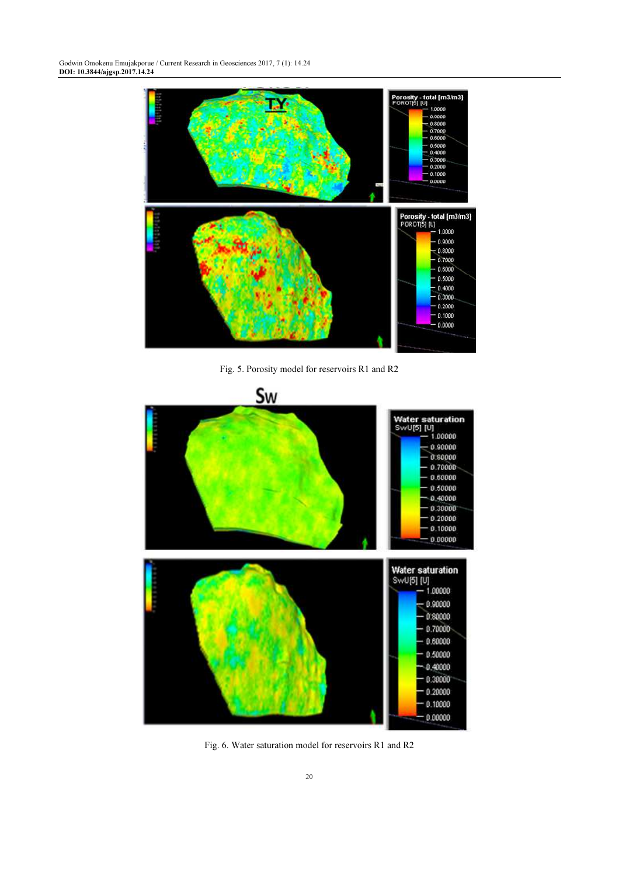

Fig. 5. Porosity model for reservoirs R1 and R2



Fig. 6. Water saturation model for reservoirs R1 and R2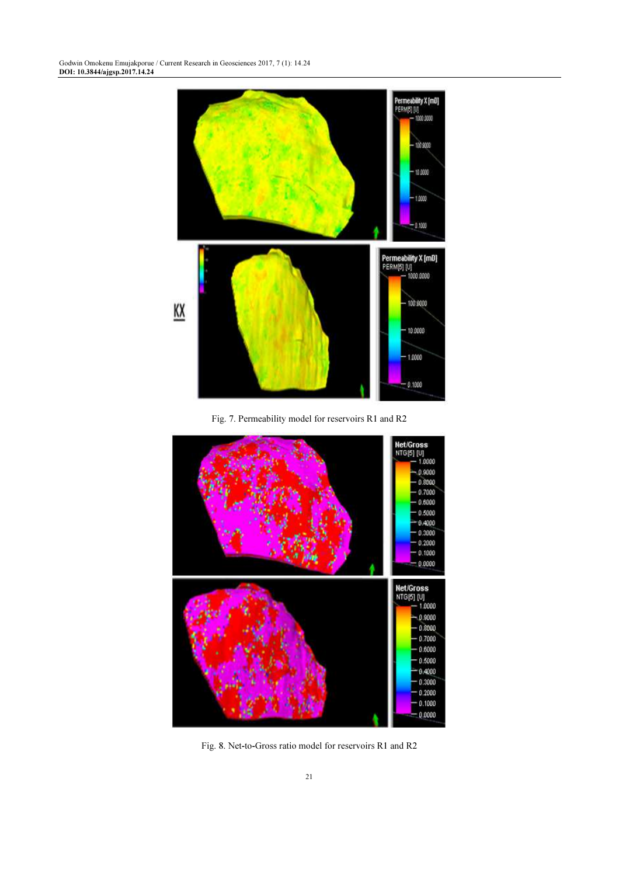Godwin Omokenu Emujakporue / Current Research in Geosciences 2017, 7 (1): 14.24 DOI: 10.3844/ajgsp.2017.14.24



Fig. 7. Permeability model for reservoirs R1 and R2



Fig. 8. Net-to-Gross ratio model for reservoirs R1 and R2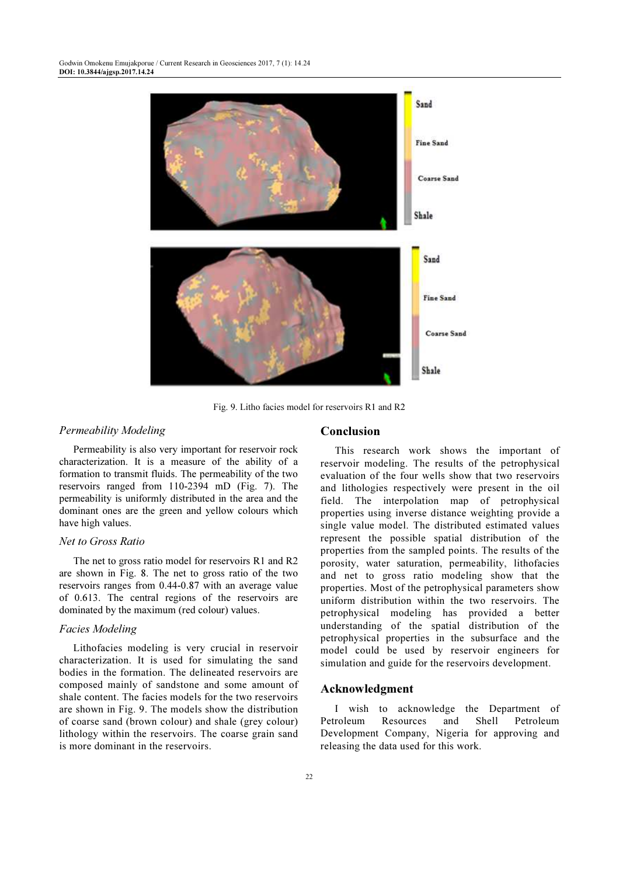

Fig. 9. Litho facies model for reservoirs R1 and R2

## Permeability Modeling

Permeability is also very important for reservoir rock characterization. It is a measure of the ability of a formation to transmit fluids. The permeability of the two reservoirs ranged from 110-2394 mD (Fig. 7). The permeability is uniformly distributed in the area and the dominant ones are the green and yellow colours which have high values.

### Net to Gross Ratio

The net to gross ratio model for reservoirs R1 and R2 are shown in Fig. 8. The net to gross ratio of the two reservoirs ranges from 0.44-0.87 with an average value of 0.613. The central regions of the reservoirs are dominated by the maximum (red colour) values.

#### Facies Modeling

Lithofacies modeling is very crucial in reservoir characterization. It is used for simulating the sand bodies in the formation. The delineated reservoirs are composed mainly of sandstone and some amount of shale content. The facies models for the two reservoirs are shown in Fig. 9. The models show the distribution of coarse sand (brown colour) and shale (grey colour) lithology within the reservoirs. The coarse grain sand is more dominant in the reservoirs.

# Conclusion

This research work shows the important of reservoir modeling. The results of the petrophysical evaluation of the four wells show that two reservoirs and lithologies respectively were present in the oil field. The interpolation map of petrophysical properties using inverse distance weighting provide a single value model. The distributed estimated values represent the possible spatial distribution of the properties from the sampled points. The results of the porosity, water saturation, permeability, lithofacies and net to gross ratio modeling show that the properties. Most of the petrophysical parameters show uniform distribution within the two reservoirs. The petrophysical modeling has provided a better understanding of the spatial distribution of the petrophysical properties in the subsurface and the model could be used by reservoir engineers for simulation and guide for the reservoirs development.

## Acknowledgment

I wish to acknowledge the Department of Petroleum Resources and Shell Petroleum Development Company, Nigeria for approving and releasing the data used for this work.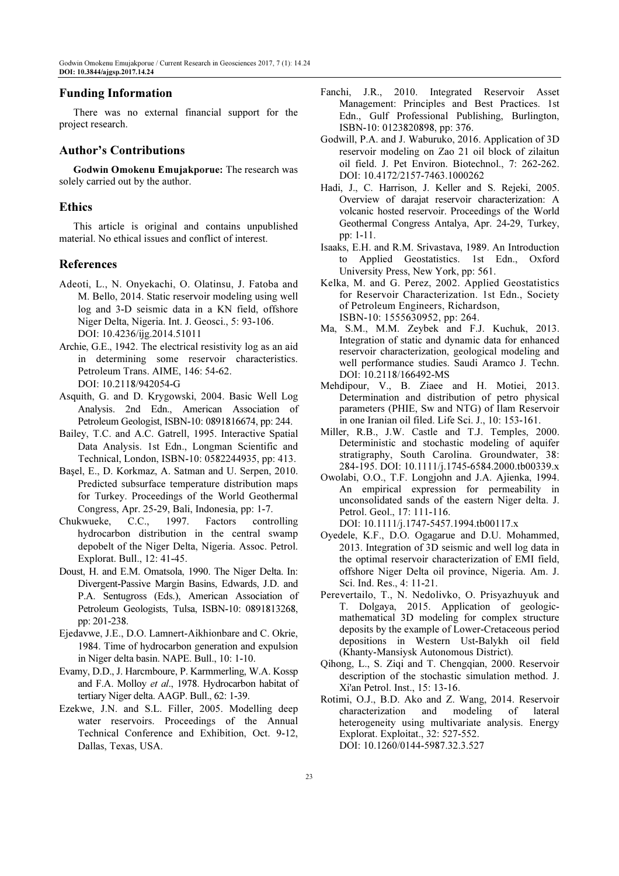# Funding Information

There was no external financial support for the project research.

# Author's Contributions

Godwin Omokenu Emujakporue: The research was solely carried out by the author.

# Ethics

This article is original and contains unpublished material. No ethical issues and conflict of interest.

## References

- Adeoti, L., N. Onyekachi, O. Olatinsu, J. Fatoba and M. Bello, 2014. Static reservoir modeling using well log and 3-D seismic data in a KN field, offshore Niger Delta, Nigeria. Int. J. Geosci., 5: 93-106. DOI: 10.4236/ijg.2014.51011
- Archie, G.E., 1942. The electrical resistivity log as an aid in determining some reservoir characteristics. Petroleum Trans. AIME, 146: 54-62. DOI: 10.2118/942054-G
- Asquith, G. and D. Krygowski, 2004. Basic Well Log Analysis. 2nd Edn., American Association of Petroleum Geologist, ISBN-10: 0891816674, pp: 244.
- Bailey, T.C. and A.C. Gatrell, 1995. Interactive Spatial Data Analysis. 1st Edn., Longman Scientific and Technical, London, ISBN-10: 0582244935, pp: 413.
- Başel, E., D. Korkmaz, A. Satman and U. Serpen, 2010. Predicted subsurface temperature distribution maps for Turkey. Proceedings of the World Geothermal Congress, Apr. 25-29, Bali, Indonesia, pp: 1-7.
- Chukwueke, C.C., 1997. Factors controlling hydrocarbon distribution in the central swamp depobelt of the Niger Delta, Nigeria. Assoc. Petrol. Explorat. Bull., 12: 41-45.
- Doust, H. and E.M. Omatsola, 1990. The Niger Delta. In: Divergent-Passive Margin Basins, Edwards, J.D. and P.A. Sentugross (Eds.), American Association of Petroleum Geologists, Tulsa, ISBN-10: 0891813268, pp: 201-238.
- Ejedavwe, J.E., D.O. Lamnert-Aikhionbare and C. Okrie, 1984. Time of hydrocarbon generation and expulsion in Niger delta basin. NAPE. Bull., 10: 1-10.
- Evamy, D.D., J. Harcmboure, P. Karmmerling, W.A. Kossp and F.A. Molloy et al., 1978. Hydrocarbon habitat of tertiary Niger delta. AAGP. Bull., 62: 1-39.
- Ezekwe, J.N. and S.L. Filler, 2005. Modelling deep water reservoirs. Proceedings of the Annual Technical Conference and Exhibition, Oct. 9-12, Dallas, Texas, USA.
- Fanchi, J.R., 2010. Integrated Reservoir Asset Management: Principles and Best Practices. 1st Edn., Gulf Professional Publishing, Burlington, ISBN-10: 0123820898, pp: 376.
- Godwill, P.A. and J. Waburuko, 2016. Application of 3D reservoir modeling on Zao 21 oil block of zilaitun oil field. J. Pet Environ. Biotechnol., 7: 262-262. DOI: 10.4172/2157-7463.1000262
- Hadi, J., C. Harrison, J. Keller and S. Rejeki, 2005. Overview of darajat reservoir characterization: A volcanic hosted reservoir. Proceedings of the World Geothermal Congress Antalya, Apr. 24-29, Turkey, pp: 1-11.
- Isaaks, E.H. and R.M. Srivastava, 1989. An Introduction to Applied Geostatistics. 1st Edn., Oxford University Press, New York, pp: 561.
- Kelka, M. and G. Perez, 2002. Applied Geostatistics for Reservoir Characterization. 1st Edn., Society of Petroleum Engineers, Richardson, ISBN-10: 1555630952, pp: 264.
- Ma, S.M., M.M. Zeybek and F.J. Kuchuk, 2013. Integration of static and dynamic data for enhanced reservoir characterization, geological modeling and well performance studies. Saudi Aramco J. Techn. DOI: 10.2118/166492-MS
- Mehdipour, V., B. Ziaee and H. Motiei, 2013. Determination and distribution of petro physical parameters (PHIE, Sw and NTG) of Ilam Reservoir in one Iranian oil filed. Life Sci. J., 10: 153-161.
- Miller, R.B., J.W. Castle and T.J. Temples, 2000. Deterministic and stochastic modeling of aquifer stratigraphy, South Carolina. Groundwater, 38: 284-195. DOI: 10.1111/j.1745-6584.2000.tb00339.x
- Owolabi, O.O., T.F. Longjohn and J.A. Ajienka, 1994. An empirical expression for permeability in unconsolidated sands of the eastern Niger delta. J. Petrol. Geol., 17: 111-116.

DOI: 10.1111/j.1747-5457.1994.tb00117.x

- Oyedele, K.F., D.O. Ogagarue and D.U. Mohammed, 2013. Integration of 3D seismic and well log data in the optimal reservoir characterization of EMI field, offshore Niger Delta oil province, Nigeria. Am. J. Sci. Ind. Res., 4: 11-21.
- Perevertailo, T., N. Nedolivko, O. Prisyazhuyuk and T. Dolgaya, 2015. Application of geologicmathematical 3D modeling for complex structure deposits by the example of Lower-Cretaceous period depositions in Western Ust-Balykh oil field (Khanty-Mansiysk Autonomous District).
- Qihong, L., S. Ziqi and T. Chengqian, 2000. Reservoir description of the stochastic simulation method. J. Xi'an Petrol. Inst., 15: 13-16.
- Rotimi, O.J., B.D. Ako and Z. Wang, 2014. Reservoir characterization and modeling of lateral heterogeneity using multivariate analysis. Energy Explorat. Exploitat., 32: 527-552. DOI: 10.1260/0144-5987.32.3.527